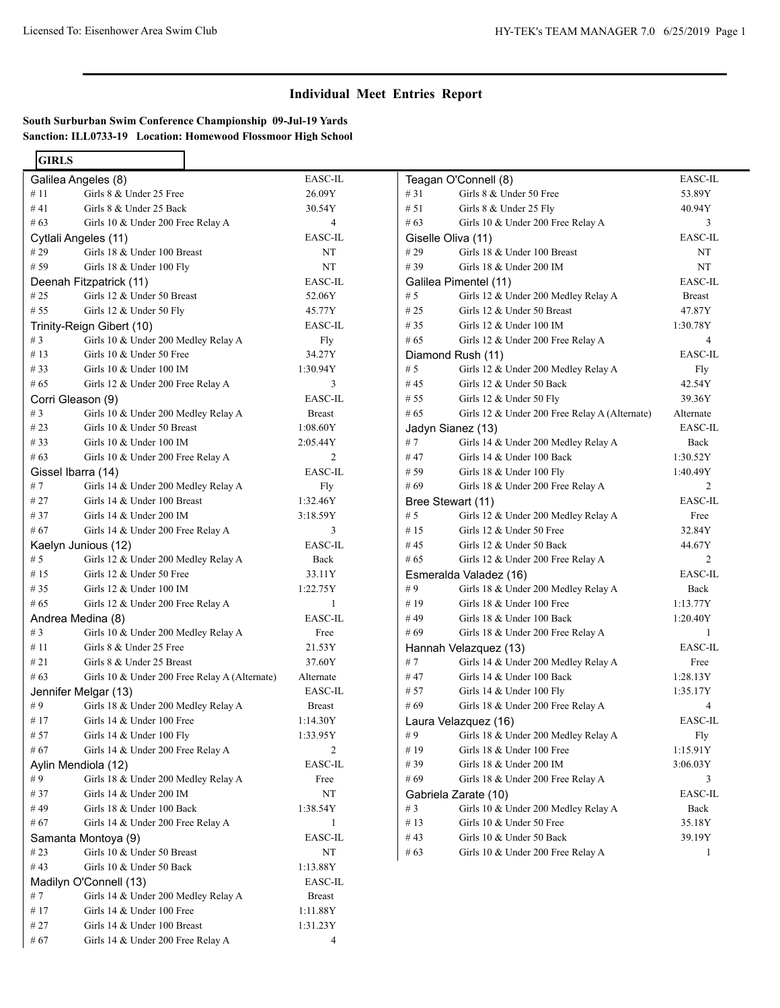## **Individual Meet Entries Report**

**South Surburban Swim Conference Championship 09-Jul-19 Yards Sanction: ILL0733-19 Location: Homewood Flossmoor High School**

| <b>GIRLS</b>              |                                               |                |
|---------------------------|-----------------------------------------------|----------------|
|                           | Galilea Angeles (8)                           | EASC-IL        |
| # 11                      | Girls 8 & Under 25 Free                       | 26.09Y         |
| #41                       | Girls 8 & Under 25 Back                       | 30.54Y         |
| #63                       | Girls 10 & Under 200 Free Relay A             | 4              |
|                           | Cytlali Angeles (11)                          | EASC-IL        |
| #29                       | Girls 18 & Under 100 Breast                   | NT             |
| # 59                      | Girls $18 \&$ Under $100$ Fly                 | NT             |
|                           | Deenah Fitzpatrick (11)                       | EASC-IL        |
| # 25                      | Girls 12 & Under 50 Breast                    | 52.06Y         |
| #55                       | 45.77Y                                        |                |
| Trinity-Reign Gibert (10) | EASC-IL                                       |                |
| # $3$                     | Girls 10 & Under 200 Medley Relay A           | Fly            |
| #13                       | Girls 10 & Under 50 Free                      | 34.27Y         |
| # 33                      | Girls 10 & Under 100 IM                       | 1:30.94Y       |
| # 65                      | Girls 12 & Under 200 Free Relay A             | 3              |
| Corri Gleason (9)         |                                               | EASC-IL        |
| #3                        | Girls 10 & Under 200 Medley Relay A           | <b>Breast</b>  |
| #23                       | Girls 10 & Under 50 Breast                    | 1:08.60Y       |
| # 33                      | Girls $10 \&$ Under $100$ IM                  | 2:05.44Y       |
| #63                       | Girls 10 & Under 200 Free Relay A             | 2              |
| Gissel Ibarra (14)        |                                               | <b>EASC-IL</b> |
| #7                        | Girls 14 & Under 200 Medley Relay A           | Fly            |
| # 27                      | Girls 14 & Under 100 Breast                   | 1:32.46Y       |
| #37                       | Girls $14 \&$ Under 200 IM                    | 3:18.59Y       |
| #67                       | Girls 14 & Under 200 Free Relay A             | 3              |
|                           | Kaelyn Junious (12)                           | EASC-IL        |
| # 5                       | Girls 12 & Under 200 Medley Relay A           | Back           |
| # 15                      | Girls 12 & Under 50 Free                      | 33.11Y         |
| # 35                      | Girls $12 \&$ Under $100$ IM                  | 1:22.75Y       |
| # 65                      | Girls 12 & Under 200 Free Relay A             | 1              |
|                           | Andrea Medina (8)                             | EASC-IL        |
| # $3$                     | Girls 10 & Under 200 Medley Relay A           | Free           |
| # $11$                    | Girls 8 & Under 25 Free                       | 21.53Y         |
| #21                       | Girls 8 & Under 25 Breast                     | 37.60Y         |
| #63                       | Girls 10 & Under 200 Free Relay A (Alternate) | Alternate      |
|                           | Jennifer Melgar (13)                          | EASC-IL        |
| #9                        | Girls 18 & Under 200 Medley Relay A           | <b>Breast</b>  |
| #17                       | Girls 14 & Under 100 Free                     | 1:14.30Y       |
| # 57                      | Girls 14 & Under 100 Fly                      | 1:33.95Y       |
| # 67                      | Girls 14 & Under 200 Free Relay A             | 2              |
|                           | Aylin Mendiola (12)                           | EASC-IL        |
| #9                        | Girls 18 & Under 200 Medley Relay A           | Free           |
| # 37                      | Girls 14 & Under 200 IM                       | NT             |
| #49                       | Girls 18 & Under 100 Back                     | 1:38.54Y       |
| #67                       | Girls 14 & Under 200 Free Relay A             | 1              |
|                           | Samanta Montoya (9)                           | EASC-IL        |
| #23                       | Girls 10 & Under 50 Breast                    | NT             |
| #43                       | Girls 10 & Under 50 Back                      | 1:13.88Y       |
|                           | Madilyn O'Connell (13)                        | EASC-IL        |
| # 7                       | Girls 14 & Under 200 Medley Relay A           | <b>Breast</b>  |
| #17                       | Girls 14 & Under 100 Free                     | 1:11.88Y       |
| # 27                      | Girls 14 & Under 100 Breast                   | 1:31.23Y       |
| # 67                      | Girls 14 & Under 200 Free Relay A             | 4              |

| Teagan O'Connell (8) | EASC-IL                                       |                |  |
|----------------------|-----------------------------------------------|----------------|--|
| #31                  | Girls 8 & Under 50 Free                       | 53.89Y         |  |
| #51                  | Girls 8 & Under 25 Fly                        | 40.94Y         |  |
| # 63                 | Girls 10 & Under 200 Free Relay A             |                |  |
|                      | Giselle Oliva (11)                            | EASC-IL        |  |
| #29                  | Girls 18 & Under 100 Breast                   | NT             |  |
| #39                  | Girls 18 & Under 200 IM                       | NT             |  |
|                      | Galilea Pimentel (11)                         | EASC-IL        |  |
| #5                   | Girls 12 & Under 200 Medley Relay A           | <b>Breast</b>  |  |
| #25                  | Girls 12 & Under 50 Breast                    | 47.87Y         |  |
| #35                  | Girls $12 \&$ Under $100$ IM                  | 1:30.78Y       |  |
| # 65                 | Girls 12 & Under 200 Free Relay A             | 4              |  |
|                      | Diamond Rush (11)                             | EASC-IL        |  |
| # $5$                | Girls 12 & Under 200 Medley Relay A           | Fly            |  |
| #45                  | Girls 12 & Under 50 Back                      | 42.54Y         |  |
| # 55                 | Girls 12 & Under 50 Fly                       | 39.36Y         |  |
| # 65                 | Girls 12 & Under 200 Free Relay A (Alternate) | Alternate      |  |
|                      | Jadyn Sianez (13)                             | EASC-IL        |  |
| # 7                  | Girls 14 & Under 200 Medley Relay A           | Back           |  |
| # 47                 | Girls 14 & Under 100 Back                     | 1:30.52Y       |  |
| # 59                 | Girls 18 & Under 100 Fly                      | 1:40.49Y       |  |
| #69                  | Girls 18 & Under 200 Free Relay A             | $\overline{c}$ |  |
|                      | Bree Stewart (11)                             | EASC-IL        |  |
| # 5                  | Girls 12 & Under 200 Medley Relay A           | Free           |  |
| #15                  | Girls 12 & Under 50 Free                      | 32.84Y         |  |
| #45                  | Girls 12 & Under 50 Back                      | 44.67Y         |  |
| # 65                 | Girls 12 & Under 200 Free Relay A             | $\overline{c}$ |  |
|                      | Esmeralda Valadez (16)                        | EASC-IL        |  |
| #9                   | Girls 18 & Under 200 Medley Relay A           | Back           |  |
| #19                  | Girls 18 & Under 100 Free                     | 1:13.77Y       |  |
| # 49                 | Girls 18 & Under 100 Back                     | 1:20.40Y       |  |
| #69                  | Girls 18 & Under 200 Free Relay A             | 1              |  |
|                      | Hannah Velazquez (13)                         | EASC-IL        |  |
| # 7                  | Girls 14 & Under 200 Medley Relay A           | Free           |  |
| # 47                 | Girls 14 & Under 100 Back                     | 1:28.13Y       |  |
| # 57                 | Girls 14 & Under 100 Fly                      | 1:35.17Y       |  |
| #69                  | Girls 18 & Under 200 Free Relay A             | 4              |  |
|                      | Laura Velazquez (16)                          | EASC-IL        |  |
| #9                   | Girls 18 & Under 200 Medley Relay A           | Fly            |  |
| #19                  | Girls 18 & Under 100 Free                     | 1:15.91Y       |  |
| # 39                 | Girls $18 \&$ Under $200$ IM                  | 3:06.03Y       |  |
| # 69                 | Girls 18 & Under 200 Free Relay A             | 3              |  |
|                      | Gabriela Zarate (10)                          | EASC-IL        |  |
| # $3$                | Girls 10 & Under 200 Medley Relay A           | Back           |  |
| #13                  | Girls 10 & Under 50 Free                      | 35.18Y         |  |
| # 43                 | Girls 10 & Under 50 Back                      | 39.19Y         |  |
| # 63                 | Girls 10 & Under 200 Free Relay A             | 1              |  |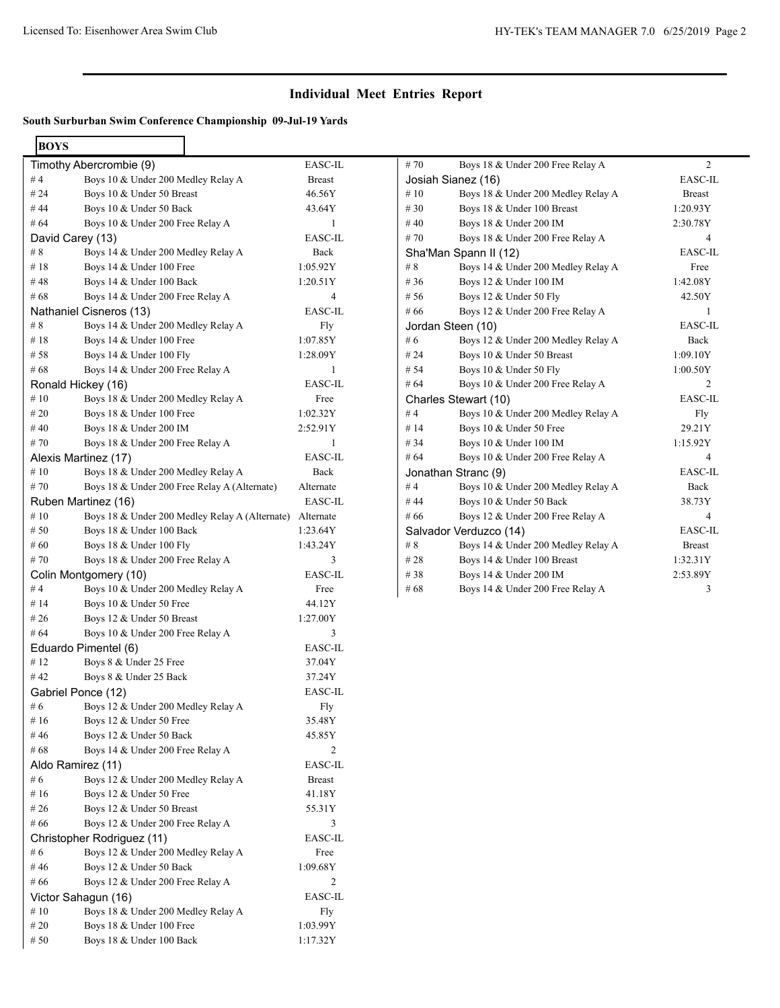## **Individual Meet Entries Report**

## **South Surburban Swim Conference Championship 09-Jul-19 Yards**

| <b>BOYS</b>        |                                                |                |
|--------------------|------------------------------------------------|----------------|
|                    | Timothy Abercrombie (9)                        | EASC-IL        |
| # 4                | Boys 10 & Under 200 Medley Relay A             | <b>Breast</b>  |
| # 24               | Boys 10 & Under 50 Breast                      | 46.56Y         |
| #44                | Boys 10 & Under 50 Back                        | 43.64Y         |
| # $64$             | Boys 10 & Under 200 Free Relay A               | 1              |
| David Carey (13)   |                                                | EASC-IL        |
| #8                 | Boys 14 & Under 200 Medley Relay A             | Back           |
| #18                | Boys 14 & Under 100 Free                       | 1:05.92Y       |
| # 48               | Boys 14 & Under 100 Back                       | 1:20.51Y       |
| #68                | Boys 14 & Under 200 Free Relay A               | 4              |
|                    | Nathaniel Cisneros (13)                        | EASC-IL        |
| # 8                | Boys 14 & Under 200 Medley Relay A             | Fly            |
| #18                | Boys 14 & Under 100 Free                       | 1:07.85Y       |
| # 58               | Boys 14 & Under 100 Fly                        | 1:28.09Y       |
| # 68               | Boys 14 & Under 200 Free Relay A               | 1              |
|                    | Ronald Hickey (16)                             | EASC-IL        |
| #10                | Boys 18 & Under 200 Medley Relay A             | Free           |
| # 20               | Boys 18 & Under 100 Free                       | 1:02.32Y       |
| #40                | Boys 18 & Under 200 IM                         | 2:52.91Y       |
| #70                | Boys 18 & Under 200 Free Relay A               | 1              |
|                    | Alexis Martinez (17)                           | EASC-IL        |
| #10                | Boys 18 & Under 200 Medley Relay A             | Back           |
| #70                | Boys 18 & Under 200 Free Relay A (Alternate)   | Alternate      |
|                    | Ruben Martinez (16)                            | EASC-IL        |
| #10                | Boys 18 & Under 200 Medley Relay A (Alternate) | Alternate      |
| # 50               | Boys 18 & Under 100 Back                       | 1:23.64Y       |
| # 60               | Boys 18 & Under 100 Fly                        | 1:43.24Y       |
| #70                | Boys 18 & Under 200 Free Relay A               | 3              |
|                    | Colin Montgomery (10)                          | EASC-IL        |
| # $4$              | Boys 10 & Under 200 Medley Relay A             | Free           |
| #14                | Boys 10 & Under 50 Free                        | 44.12Y         |
| # 26               | Boys 12 & Under 50 Breast                      | 1:27.00Y       |
| # $64$             | Boys 10 & Under 200 Free Relay A               | 3              |
|                    | Eduardo Pimentel (6)                           | EASC-IL        |
| #12                | Boys 8 & Under 25 Free                         | 37.04Y         |
| #42                | Boys 8 & Under 25 Back                         | 37.24Y         |
| Gabriel Ponce (12) |                                                | <b>EASC-IL</b> |
| # 6                | Boys 12 & Under 200 Medley Relay A             | Fly            |
| # 16               | Boys 12 & Under 50 Free                        | 35.48Y         |
| # 46               | Boys 12 & Under 50 Back                        | 45.85Y         |
| #68                | Boys 14 & Under 200 Free Relay A               | 2              |
| Aldo Ramirez (11)  |                                                | EASC-IL        |
| #6                 | Boys 12 & Under 200 Medley Relay A             | <b>Breast</b>  |
| # 16               | Boys 12 & Under 50 Free                        | 41.18Y         |
| # 26               | Boys 12 & Under 50 Breast                      | 55.31Y         |
| # 66               | Boys 12 & Under 200 Free Relay A               | 3              |
|                    | Christopher Rodriguez (11)                     | EASC-IL        |
| # 6                | Boys 12 & Under 200 Medley Relay A             | Free           |
| # 46               | Boys 12 & Under 50 Back                        | 1:09.68Y       |
| # 66               | Boys 12 & Under 200 Free Relay A               | 2              |
|                    | Victor Sahagun (16)                            | EASC-IL        |
| # 10               | Boys 18 & Under 200 Medley Relay A             | Fly            |
| # 20               | Boys 18 & Under 100 Free                       | 1:03.99Y       |
| # 50               | Boys 18 & Under 100 Back                       | 1:17.32Y       |

| #70    | Boys 18 & Under 200 Free Relay A   | $\overline{2}$ |
|--------|------------------------------------|----------------|
|        | Josiah Sianez (16)                 | EASC-IL        |
| #10    | Boys 18 & Under 200 Medley Relay A | <b>Breast</b>  |
| #30    | Boys 18 & Under 100 Breast         | 1:20.93Y       |
| #40    | Boys 18 & Under 200 IM             | 2:30.78Y       |
| #70    | Boys 18 & Under 200 Free Relay A   | $\overline{4}$ |
|        | Sha'Man Spann II (12)              | EASC-IL        |
| #8     | Boys 14 & Under 200 Medley Relay A | Free           |
| #36    | Boys 12 & Under 100 IM             | 1:42.08Y       |
| # 56   | Boys 12 & Under 50 Fly             | 42.50Y         |
| # 66   | Boys 12 & Under 200 Free Relay A   | 1              |
|        | Jordan Steen (10)                  | EASC-IL        |
| #6     | Boys 12 & Under 200 Medley Relay A | Back           |
| # 24   | Boys 10 & Under 50 Breast          | 1:09.10Y       |
| # 54   | Boys 10 & Under 50 Fly             | 1:00.50Y       |
| # 64   | Boys 10 & Under 200 Free Relay A   | 2              |
|        | Charles Stewart (10)               | EASC-IL        |
| #4     | Boys 10 & Under 200 Medley Relay A | Fly            |
| #14    | Boys 10 & Under 50 Free            | 29.21Y         |
| # 34   | Boys 10 & Under 100 IM             | 1:15.92Y       |
| # $64$ | Boys 10 & Under 200 Free Relay A   | $\overline{4}$ |
|        | Jonathan Stranc (9)                | EASC-IL        |
| #4     | Boys 10 & Under 200 Medley Relay A | Back           |
| #44    | Boys 10 & Under 50 Back            | 38.73Y         |
| #66    | Boys 12 & Under 200 Free Relay A   | $\overline{4}$ |
|        | Salvador Verduzco (14)             | EASC-IL        |
| #8     | Boys 14 & Under 200 Medley Relay A | <b>Breast</b>  |
| #28    | Boys 14 & Under 100 Breast         | 1:32.31Y       |
| # 38   | Boys 14 & Under 200 IM             | 2:53.89Y       |
| #68    | Boys 14 & Under 200 Free Relay A   | 3              |
|        |                                    |                |